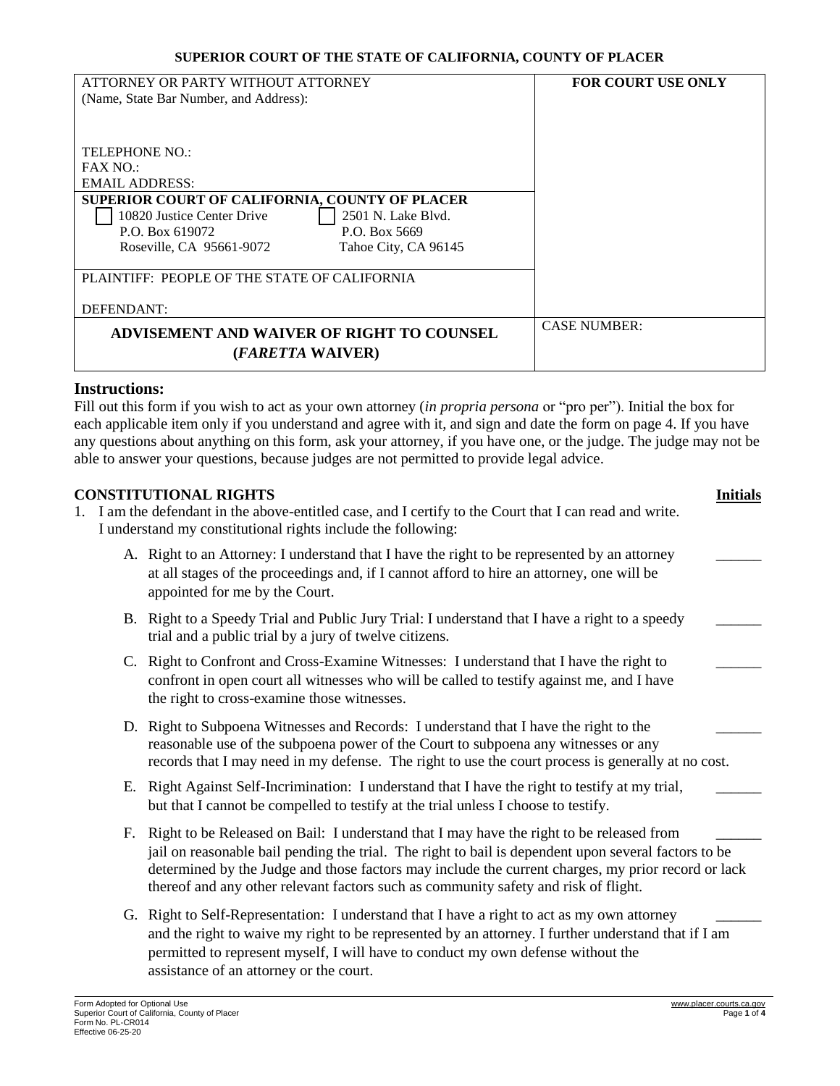| ATTORNEY OR PARTY WITHOUT ATTORNEY                    | <b>FOR COURT USE ONLY</b> |
|-------------------------------------------------------|---------------------------|
| (Name, State Bar Number, and Address):                |                           |
|                                                       |                           |
|                                                       |                           |
| TELEPHONE NO.:                                        |                           |
| FAX NO.                                               |                           |
| <b>EMAIL ADDRESS:</b>                                 |                           |
| <b>SUPERIOR COURT OF CALIFORNIA. COUNTY OF PLACER</b> |                           |
| 2501 N. Lake Blvd.<br>10820 Justice Center Drive      |                           |
| P.O. Box 619072<br>P.O. Box 5669                      |                           |
| Roseville, CA 95661-9072<br>Tahoe City, CA 96145      |                           |
|                                                       |                           |
| PLAINTIFF: PEOPLE OF THE STATE OF CALIFORNIA          |                           |
|                                                       |                           |
| DEFENDANT:                                            |                           |
| ADVISEMENT AND WAIVER OF RIGHT TO COUNSEL             | <b>CASE NUMBER:</b>       |
|                                                       |                           |
| ( <i>FARETTA</i> WAIVER)                              |                           |

#### **Instructions:**

Fill out this form if you wish to act as your own attorney (*in propria persona* or "pro per"). Initial the box for each applicable item only if you understand and agree with it, and sign and date the form on page 4. If you have any questions about anything on this form, ask your attorney, if you have one, or the judge. The judge may not be able to answer your questions, because judges are not permitted to provide legal advice.

### **CONSTITUTIONAL RIGHTS Initials**

- 1. I am the defendant in the above-entitled case, and I certify to the Court that I can read and write. I understand my constitutional rights include the following:
	- A. Right to an Attorney: I understand that I have the right to be represented by an attorney at all stages of the proceedings and, if I cannot afford to hire an attorney, one will be appointed for me by the Court.
	- B. Right to a Speedy Trial and Public Jury Trial: I understand that I have a right to a speedy trial and a public trial by a jury of twelve citizens.
	- C. Right to Confront and Cross-Examine Witnesses: I understand that I have the right to confront in open court all witnesses who will be called to testify against me, and I have the right to cross-examine those witnesses.
	- D. Right to Subpoena Witnesses and Records: I understand that I have the right to the reasonable use of the subpoena power of the Court to subpoena any witnesses or any records that I may need in my defense. The right to use the court process is generally at no cost.
	- E. Right Against Self-Incrimination: I understand that I have the right to testify at my trial, but that I cannot be compelled to testify at the trial unless I choose to testify.
	- F. Right to be Released on Bail: I understand that I may have the right to be released from jail on reasonable bail pending the trial. The right to bail is dependent upon several factors to be determined by the Judge and those factors may include the current charges, my prior record or lack thereof and any other relevant factors such as community safety and risk of flight.
	- G. Right to Self-Representation: I understand that I have a right to act as my own attorney and the right to waive my right to be represented by an attorney. I further understand that if I am permitted to represent myself, I will have to conduct my own defense without the assistance of an attorney or the court.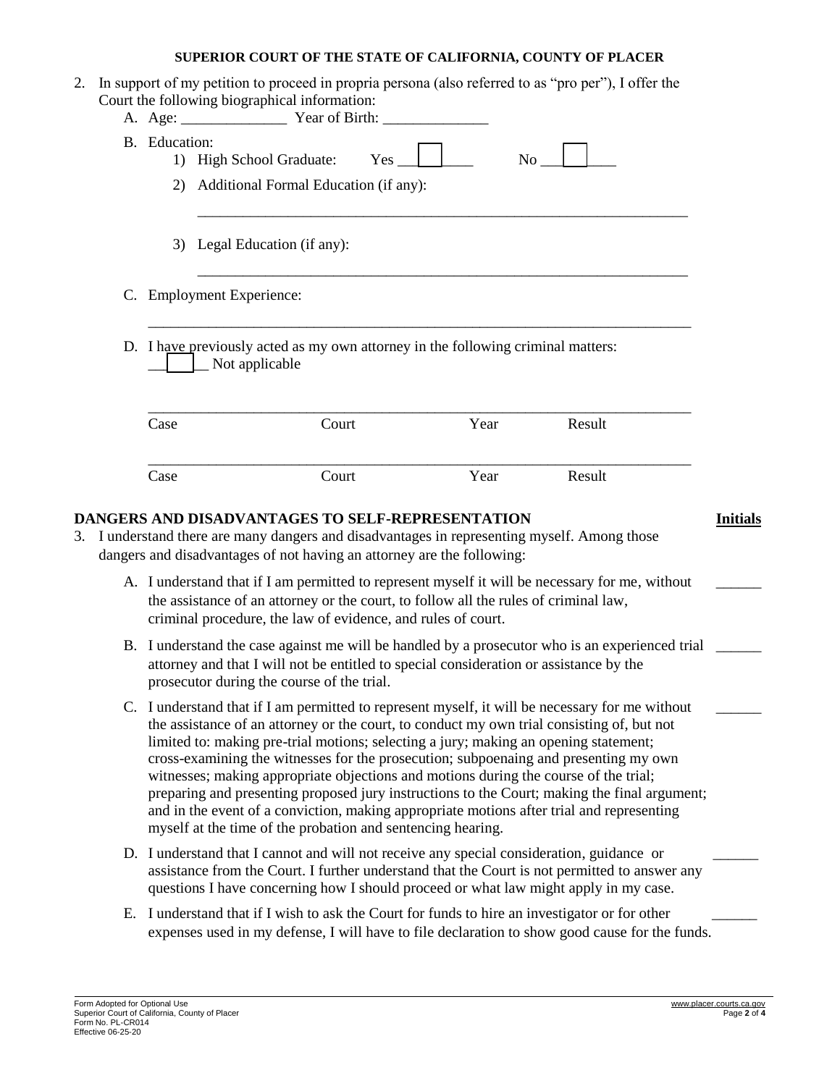| B. Education: | $Yes$ $\Box$<br>1) High School Graduate:<br>No                                                     |
|---------------|----------------------------------------------------------------------------------------------------|
|               | 2) Additional Formal Education (if any):                                                           |
|               |                                                                                                    |
|               | 3) Legal Education (if any):                                                                       |
|               |                                                                                                    |
|               | C. Employment Experience:                                                                          |
|               | D. I have previously acted as my own attorney in the following criminal matters:<br>Not applicable |
| Case          | Year<br>Result<br>Court                                                                            |

- A. I understand that if I am permitted to represent myself it will be necessary for me, without the assistance of an attorney or the court, to follow all the rules of criminal law, criminal procedure, the law of evidence, and rules of court.
- B. I understand the case against me will be handled by a prosecutor who is an experienced trial \_\_\_\_\_\_ attorney and that I will not be entitled to special consideration or assistance by the prosecutor during the course of the trial.
- C. I understand that if I am permitted to represent myself, it will be necessary for me without the assistance of an attorney or the court, to conduct my own trial consisting of, but not limited to: making pre-trial motions; selecting a jury; making an opening statement; cross-examining the witnesses for the prosecution; subpoenaing and presenting my own witnesses; making appropriate objections and motions during the course of the trial; preparing and presenting proposed jury instructions to the Court; making the final argument; and in the event of a conviction, making appropriate motions after trial and representing myself at the time of the probation and sentencing hearing.
- D. I understand that I cannot and will not receive any special consideration, guidance or assistance from the Court. I further understand that the Court is not permitted to answer any questions I have concerning how I should proceed or what law might apply in my case.
- E. I understand that if I wish to ask the Court for funds to hire an investigator or for other expenses used in my defense, I will have to file declaration to show good cause for the funds.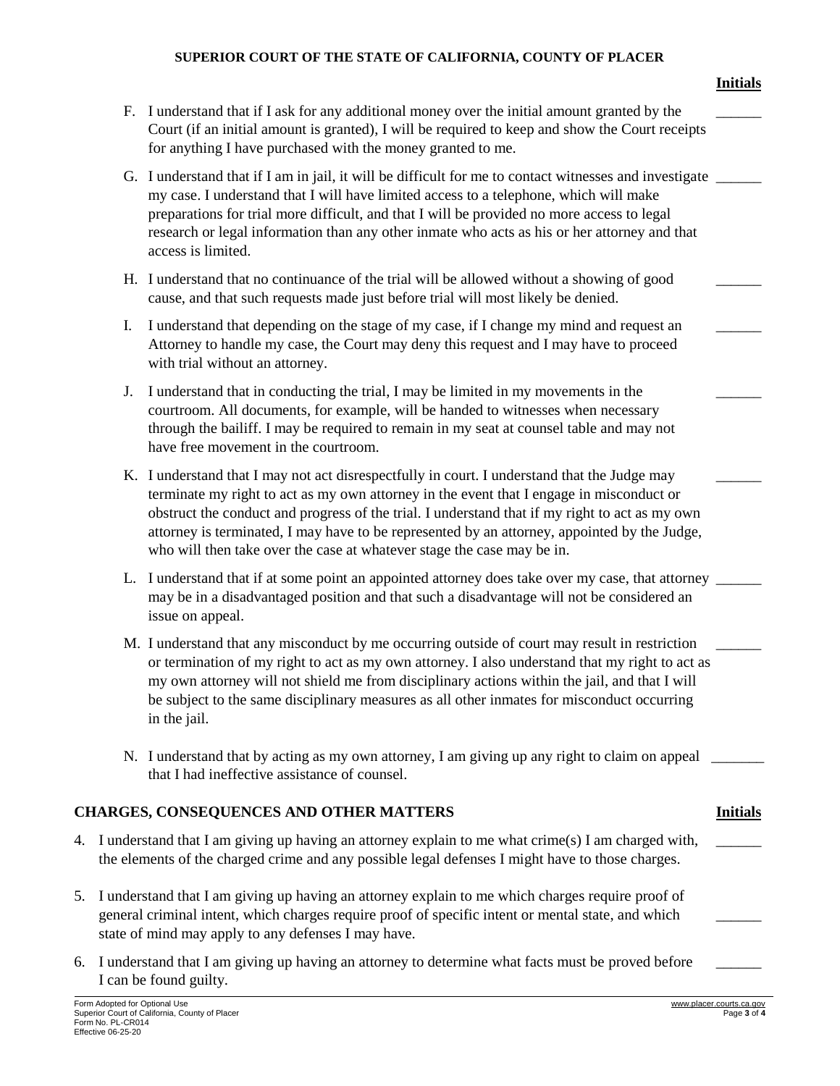|    |                                                                                                                                                                                                                                                               |                                                                                                                                                                                                                                                                                                                                                                                                                                                                      | <b>Initials</b>                         |
|----|---------------------------------------------------------------------------------------------------------------------------------------------------------------------------------------------------------------------------------------------------------------|----------------------------------------------------------------------------------------------------------------------------------------------------------------------------------------------------------------------------------------------------------------------------------------------------------------------------------------------------------------------------------------------------------------------------------------------------------------------|-----------------------------------------|
|    |                                                                                                                                                                                                                                                               | F. I understand that if I ask for any additional money over the initial amount granted by the<br>Court (if an initial amount is granted), I will be required to keep and show the Court receipts<br>for anything I have purchased with the money granted to me.                                                                                                                                                                                                      |                                         |
|    |                                                                                                                                                                                                                                                               | G. I understand that if I am in jail, it will be difficult for me to contact witnesses and investigate<br>my case. I understand that I will have limited access to a telephone, which will make<br>preparations for trial more difficult, and that I will be provided no more access to legal<br>research or legal information than any other inmate who acts as his or her attorney and that<br>access is limited.                                                  |                                         |
|    |                                                                                                                                                                                                                                                               | H. I understand that no continuance of the trial will be allowed without a showing of good<br>cause, and that such requests made just before trial will most likely be denied.                                                                                                                                                                                                                                                                                       |                                         |
|    | I.                                                                                                                                                                                                                                                            | I understand that depending on the stage of my case, if I change my mind and request an<br>Attorney to handle my case, the Court may deny this request and I may have to proceed<br>with trial without an attorney.                                                                                                                                                                                                                                                  |                                         |
|    | J.                                                                                                                                                                                                                                                            | I understand that in conducting the trial, I may be limited in my movements in the<br>courtroom. All documents, for example, will be handed to witnesses when necessary<br>through the bailiff. I may be required to remain in my seat at counsel table and may not<br>have free movement in the courtroom.                                                                                                                                                          |                                         |
|    |                                                                                                                                                                                                                                                               | K. I understand that I may not act disrespectfully in court. I understand that the Judge may<br>terminate my right to act as my own attorney in the event that I engage in misconduct or<br>obstruct the conduct and progress of the trial. I understand that if my right to act as my own<br>attorney is terminated, I may have to be represented by an attorney, appointed by the Judge,<br>who will then take over the case at whatever stage the case may be in. |                                         |
|    |                                                                                                                                                                                                                                                               | L. I understand that if at some point an appointed attorney does take over my case, that attorney<br>may be in a disadvantaged position and that such a disadvantage will not be considered an<br>issue on appeal.                                                                                                                                                                                                                                                   |                                         |
|    |                                                                                                                                                                                                                                                               | M. I understand that any misconduct by me occurring outside of court may result in restriction<br>or termination of my right to act as my own attorney. I also understand that my right to act as<br>my own attorney will not shield me from disciplinary actions within the jail, and that I will<br>be subject to the same disciplinary measures as all other inmates for misconduct occurring<br>in the jail.                                                     |                                         |
|    |                                                                                                                                                                                                                                                               | N. I understand that by acting as my own attorney, I am giving up any right to claim on appeal<br>that I had ineffective assistance of counsel.                                                                                                                                                                                                                                                                                                                      |                                         |
|    |                                                                                                                                                                                                                                                               | <b>CHARGES, CONSEQUENCES AND OTHER MATTERS</b>                                                                                                                                                                                                                                                                                                                                                                                                                       | <b>Initials</b>                         |
| 4. |                                                                                                                                                                                                                                                               | I understand that I am giving up having an attorney explain to me what crime(s) I am charged with,<br>the elements of the charged crime and any possible legal defenses I might have to those charges.                                                                                                                                                                                                                                                               |                                         |
| 5. | I understand that I am giving up having an attorney explain to me which charges require proof of<br>general criminal intent, which charges require proof of specific intent or mental state, and which<br>state of mind may apply to any defenses I may have. |                                                                                                                                                                                                                                                                                                                                                                                                                                                                      |                                         |
| 6. |                                                                                                                                                                                                                                                               | I understand that I am giving up having an attorney to determine what facts must be proved before<br>I can be found guilty.                                                                                                                                                                                                                                                                                                                                          |                                         |
|    | Form Adopted for Optional Use<br>Form No. PL-CR014<br>Effective 06-25-20                                                                                                                                                                                      | Superior Court of California, County of Placer                                                                                                                                                                                                                                                                                                                                                                                                                       | www.placer.courts.ca.gov<br>Page 3 of 4 |